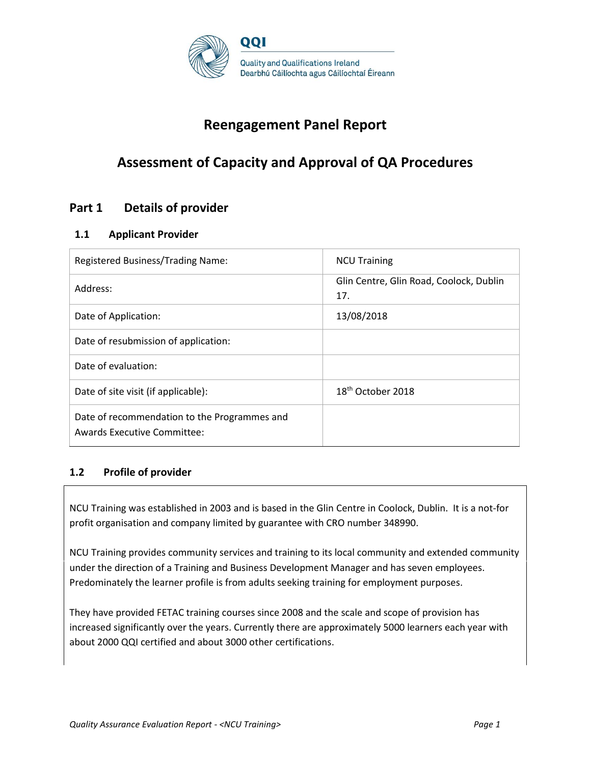

# **Reengagement Panel Report**

# **Assessment of Capacity and Approval of QA Procedures**

# **Part 1 Details of provider**

### **1.1 Applicant Provider**

| Registered Business/Trading Name:                                                  | <b>NCU Training</b>                            |
|------------------------------------------------------------------------------------|------------------------------------------------|
| Address:                                                                           | Glin Centre, Glin Road, Coolock, Dublin<br>17. |
| Date of Application:                                                               | 13/08/2018                                     |
| Date of resubmission of application:                                               |                                                |
| Date of evaluation:                                                                |                                                |
| Date of site visit (if applicable):                                                | 18 <sup>th</sup> October 2018                  |
| Date of recommendation to the Programmes and<br><b>Awards Executive Committee:</b> |                                                |

# **1.2 Profile of provider**

NCU Training was established in 2003 and is based in the Glin Centre in Coolock, Dublin. It is a not-for profit organisation and company limited by guarantee with CRO number 348990.

NCU Training provides community services and training to its local community and extended community under the direction of a Training and Business Development Manager and has seven employees. Predominately the learner profile is from adults seeking training for employment purposes.

They have provided FETAC training courses since 2008 and the scale and scope of provision has increased significantly over the years. Currently there are approximately 5000 learners each year with about 2000 QQI certified and about 3000 other certifications.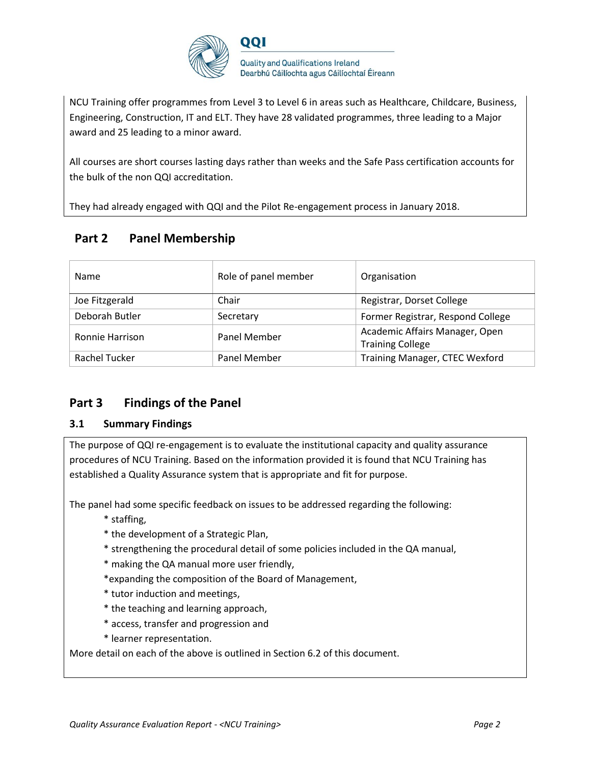

NCU Training offer programmes from Level 3 to Level 6 in areas such as Healthcare, Childcare, Business, Engineering, Construction, IT and ELT. They have 28 validated programmes, three leading to a Major award and 25 leading to a minor award.

All courses are short courses lasting days rather than weeks and the Safe Pass certification accounts for the bulk of the non QQI accreditation.

They had already engaged with QQI and the Pilot Re-engagement process in January 2018.

# **Part 2 Panel Membership**

| <b>Name</b>          | Role of panel member | Organisation                                              |
|----------------------|----------------------|-----------------------------------------------------------|
| Joe Fitzgerald       | Chair                | Registrar, Dorset College                                 |
| Deborah Butler       | Secretary            | Former Registrar, Respond College                         |
| Ronnie Harrison      | <b>Panel Member</b>  | Academic Affairs Manager, Open<br><b>Training College</b> |
| <b>Rachel Tucker</b> | <b>Panel Member</b>  | Training Manager, CTEC Wexford                            |

# **Part 3 Findings of the Panel**

# **3.1 Summary Findings**

The purpose of QQI re-engagement is to evaluate the institutional capacity and quality assurance procedures of NCU Training. Based on the information provided it is found that NCU Training has established a Quality Assurance system that is appropriate and fit for purpose.

The panel had some specific feedback on issues to be addressed regarding the following:

- \* staffing,
- \* the development of a Strategic Plan,
- \* strengthening the procedural detail of some policies included in the QA manual,
- \* making the QA manual more user friendly,
- \*expanding the composition of the Board of Management,
- \* tutor induction and meetings,
- \* the teaching and learning approach,
- \* access, transfer and progression and
- \* learner representation.

More detail on each of the above is outlined in Section 6.2 of this document.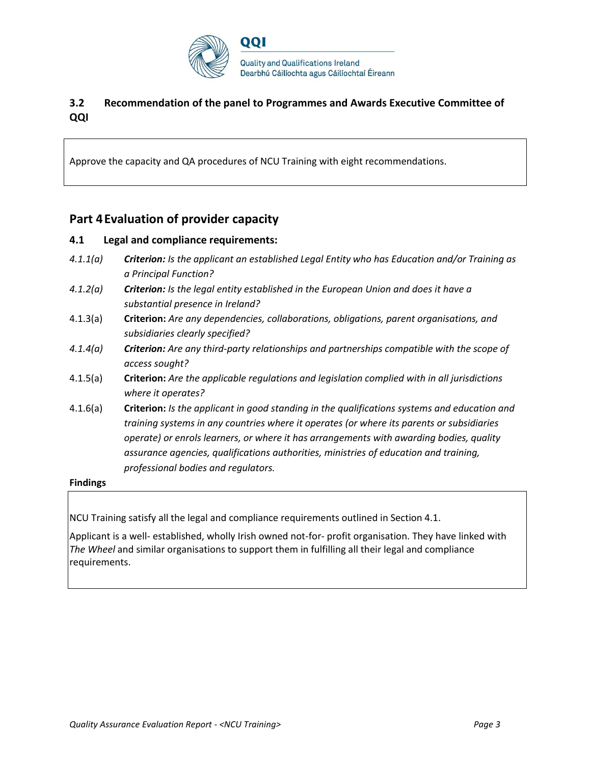

# **3.2 Recommendation of the panel to Programmes and Awards Executive Committee of QQI**

Approve the capacity and QA procedures of NCU Training with eight recommendations.

# **Part 4Evaluation of provider capacity**

### **4.1 Legal and compliance requirements:**

- *4.1.1(a) Criterion: Is the applicant an established Legal Entity who has Education and/or Training as a Principal Function?*
- *4.1.2(a) Criterion: Is the legal entity established in the European Union and does it have a substantial presence in Ireland?*
- 4.1.3(a) **Criterion:** *Are any dependencies, collaborations, obligations, parent organisations, and subsidiaries clearly specified?*
- *4.1.4(a) Criterion: Are any third-party relationships and partnerships compatible with the scope of access sought?*
- 4.1.5(a) **Criterion:** *Are the applicable regulations and legislation complied with in all jurisdictions where it operates?*
- 4.1.6(a) **Criterion:** *Is the applicant in good standing in the qualifications systems and education and training systems in any countries where it operates (or where its parents or subsidiaries operate) or enrols learners, or where it has arrangements with awarding bodies, quality assurance agencies, qualifications authorities, ministries of education and training, professional bodies and regulators.*

#### **Findings**

NCU Training satisfy all the legal and compliance requirements outlined in Section 4.1.

Applicant is a well- established, wholly Irish owned not-for- profit organisation. They have linked with *The Wheel* and similar organisations to support them in fulfilling all their legal and compliance requirements.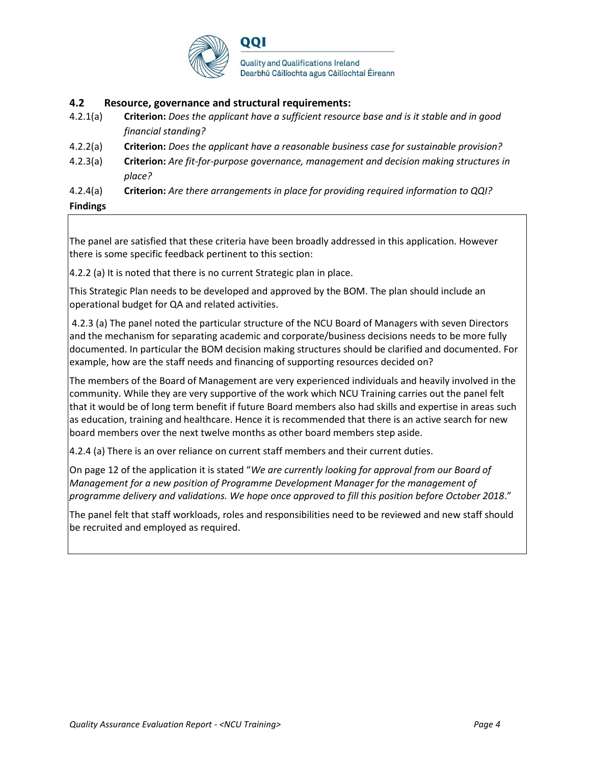

### **4.2 Resource, governance and structural requirements:**

- 4.2.1(a) **Criterion:** *Does the applicant have a sufficient resource base and is it stable and in good financial standing?*
- 4.2.2(a) **Criterion:** *Does the applicant have a reasonable business case for sustainable provision?*
- 4.2.3(a) **Criterion:** *Are fit-for-purpose governance, management and decision making structures in place?*

4.2.4(a) **Criterion:** *Are there arrangements in place for providing required information to QQI?*

**Findings**

The panel are satisfied that these criteria have been broadly addressed in this application. However there is some specific feedback pertinent to this section:

4.2.2 (a) It is noted that there is no current Strategic plan in place.

This Strategic Plan needs to be developed and approved by the BOM. The plan should include an operational budget for QA and related activities.

4.2.3 (a) The panel noted the particular structure of the NCU Board of Managers with seven Directors and the mechanism for separating academic and corporate/business decisions needs to be more fully documented. In particular the BOM decision making structures should be clarified and documented. For example, how are the staff needs and financing of supporting resources decided on?

The members of the Board of Management are very experienced individuals and heavily involved in the community. While they are very supportive of the work which NCU Training carries out the panel felt that it would be of long term benefit if future Board members also had skills and expertise in areas such as education, training and healthcare. Hence it is recommended that there is an active search for new board members over the next twelve months as other board members step aside.

4.2.4 (a) There is an over reliance on current staff members and their current duties.

On page 12 of the application it is stated "*We are currently looking for approval from our Board of Management for a new position of Programme Development Manager for the management of programme delivery and validations. We hope once approved to fill this position before October 2018*."

The panel felt that staff workloads, roles and responsibilities need to be reviewed and new staff should be recruited and employed as required.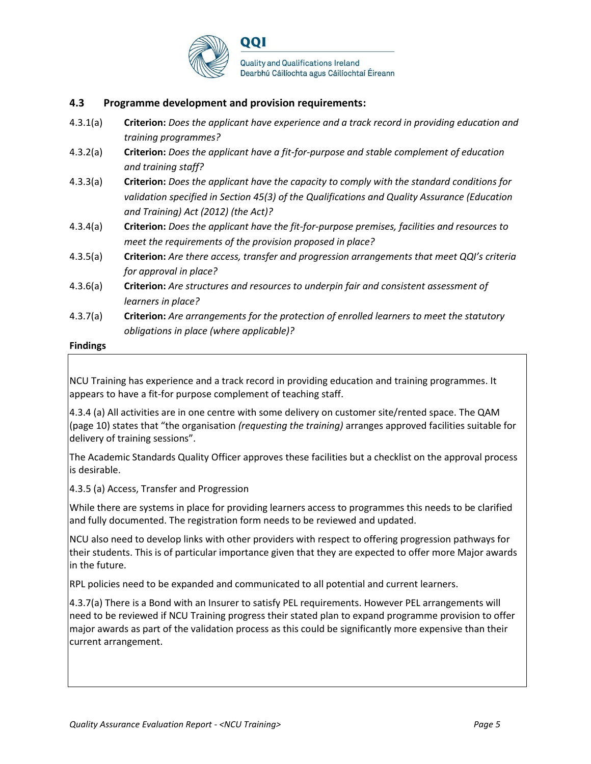

### **4.3 Programme development and provision requirements:**

- 4.3.1(a) **Criterion:** *Does the applicant have experience and a track record in providing education and training programmes?*
- 4.3.2(a) **Criterion:** *Does the applicant have a fit-for-purpose and stable complement of education and training staff?*
- 4.3.3(a) **Criterion:** *Does the applicant have the capacity to comply with the standard conditions for validation specified in Section 45(3) of the Qualifications and Quality Assurance (Education and Training) Act (2012) (the Act)?*
- 4.3.4(a) **Criterion:** *Does the applicant have the fit-for-purpose premises, facilities and resources to meet the requirements of the provision proposed in place?*
- 4.3.5(a) **Criterion:** *Are there access, transfer and progression arrangements that meet QQI's criteria for approval in place?*
- 4.3.6(a) **Criterion:** *Are structures and resources to underpin fair and consistent assessment of learners in place?*
- 4.3.7(a) **Criterion:** *Are arrangements for the protection of enrolled learners to meet the statutory obligations in place (where applicable)?*

#### **Findings**

NCU Training has experience and a track record in providing education and training programmes. It appears to have a fit-for purpose complement of teaching staff.

4.3.4 (a) All activities are in one centre with some delivery on customer site/rented space. The QAM (page 10) states that "the organisation *(requesting the training)* arranges approved facilities suitable for delivery of training sessions".

The Academic Standards Quality Officer approves these facilities but a checklist on the approval process is desirable.

4.3.5 (a) Access, Transfer and Progression

While there are systems in place for providing learners access to programmes this needs to be clarified and fully documented. The registration form needs to be reviewed and updated.

NCU also need to develop links with other providers with respect to offering progression pathways for their students. This is of particular importance given that they are expected to offer more Major awards in the future.

RPL policies need to be expanded and communicated to all potential and current learners.

4.3.7(a) There is a Bond with an Insurer to satisfy PEL requirements. However PEL arrangements will need to be reviewed if NCU Training progress their stated plan to expand programme provision to offer major awards as part of the validation process as this could be significantly more expensive than their current arrangement.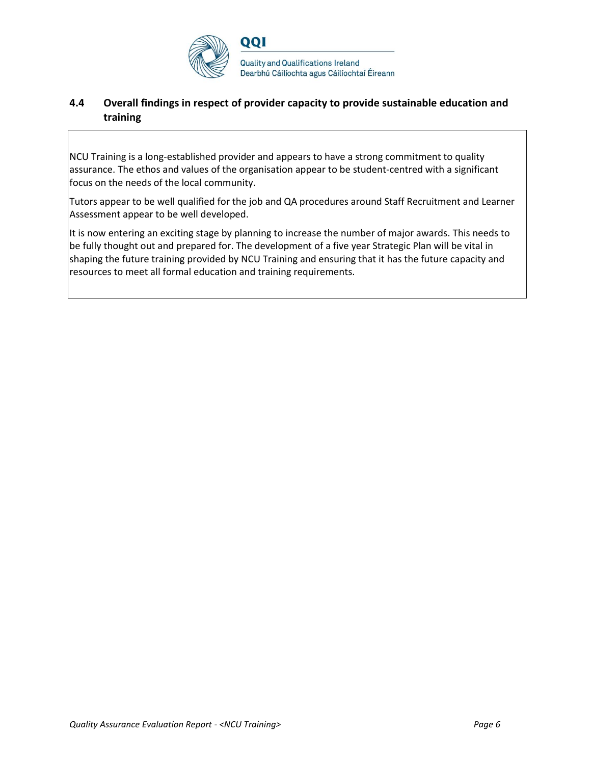

# **4.4 Overall findings in respect of provider capacity to provide sustainable education and training**

NCU Training is a long-established provider and appears to have a strong commitment to quality assurance. The ethos and values of the organisation appear to be student-centred with a significant focus on the needs of the local community.

Tutors appear to be well qualified for the job and QA procedures around Staff Recruitment and Learner Assessment appear to be well developed.

It is now entering an exciting stage by planning to increase the number of major awards. This needs to be fully thought out and prepared for. The development of a five year Strategic Plan will be vital in shaping the future training provided by NCU Training and ensuring that it has the future capacity and resources to meet all formal education and training requirements.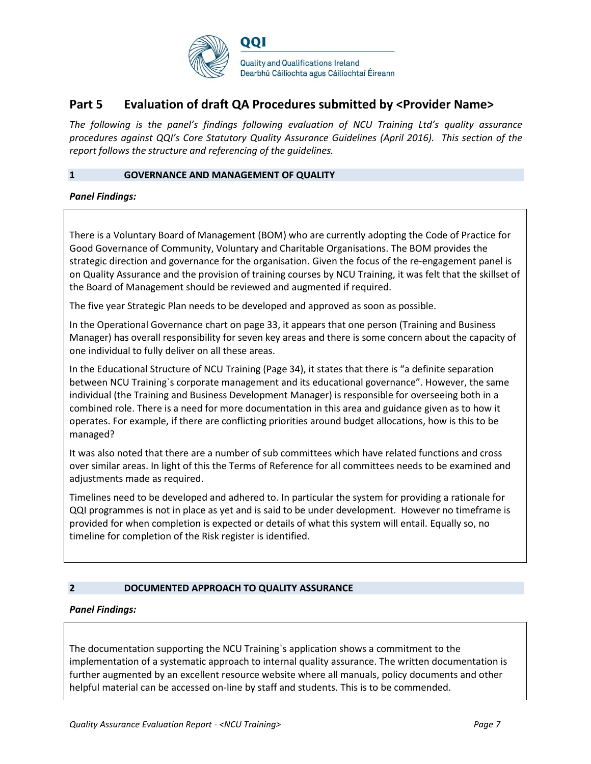

# **Part 5 Evaluation of draft QA Procedures submitted by <Provider Name>**

*The following is the panel's findings following evaluation of NCU Training Ltd's quality assurance procedures against QQI's Core Statutory Quality Assurance Guidelines (April 2016). This section of the report follows the structure and referencing of the guidelines.* 

#### **1 GOVERNANCE AND MANAGEMENT OF QUALITY**

*Panel Findings:*

There is a Voluntary Board of Management (BOM) who are currently adopting the Code of Practice for Good Governance of Community, Voluntary and Charitable Organisations. The BOM provides the strategic direction and governance for the organisation. Given the focus of the re-engagement panel is on Quality Assurance and the provision of training courses by NCU Training, it was felt that the skillset of the Board of Management should be reviewed and augmented if required.

The five year Strategic Plan needs to be developed and approved as soon as possible.

In the Operational Governance chart on page 33, it appears that one person (Training and Business Manager) has overall responsibility for seven key areas and there is some concern about the capacity of one individual to fully deliver on all these areas.

In the Educational Structure of NCU Training (Page 34), it states that there is "a definite separation between NCU Training`s corporate management and its educational governance". However, the same individual (the Training and Business Development Manager) is responsible for overseeing both in a combined role. There is a need for more documentation in this area and guidance given as to how it operates. For example, if there are conflicting priorities around budget allocations, how is this to be managed?

It was also noted that there are a number of sub committees which have related functions and cross over similar areas. In light of this the Terms of Reference for all committees needs to be examined and adjustments made as required.

Timelines need to be developed and adhered to. In particular the system for providing a rationale for QQI programmes is not in place as yet and is said to be under development. However no timeframe is provided for when completion is expected or details of what this system will entail. Equally so, no timeline for completion of the Risk register is identified.

#### **2 DOCUMENTED APPROACH TO QUALITY ASSURANCE**

#### *Panel Findings:*

The documentation supporting the NCU Training`s application shows a commitment to the implementation of a systematic approach to internal quality assurance. The written documentation is further augmented by an excellent resource website where all manuals, policy documents and other helpful material can be accessed on-line by staff and students. This is to be commended.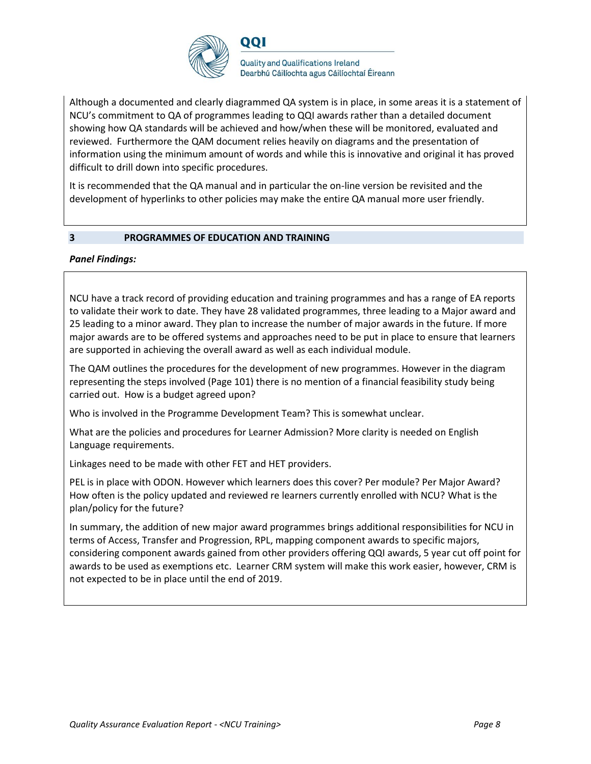

Although a documented and clearly diagrammed QA system is in place, in some areas it is a statement of NCU's commitment to QA of programmes leading to QQI awards rather than a detailed document showing how QA standards will be achieved and how/when these will be monitored, evaluated and reviewed. Furthermore the QAM document relies heavily on diagrams and the presentation of information using the minimum amount of words and while this is innovative and original it has proved difficult to drill down into specific procedures.

It is recommended that the QA manual and in particular the on-line version be revisited and the development of hyperlinks to other policies may make the entire QA manual more user friendly.

#### **3 PROGRAMMES OF EDUCATION AND TRAINING**

#### *Panel Findings:*

NCU have a track record of providing education and training programmes and has a range of EA reports to validate their work to date. They have 28 validated programmes, three leading to a Major award and 25 leading to a minor award. They plan to increase the number of major awards in the future. If more major awards are to be offered systems and approaches need to be put in place to ensure that learners are supported in achieving the overall award as well as each individual module.

The QAM outlines the procedures for the development of new programmes. However in the diagram representing the steps involved (Page 101) there is no mention of a financial feasibility study being carried out. How is a budget agreed upon?

Who is involved in the Programme Development Team? This is somewhat unclear.

What are the policies and procedures for Learner Admission? More clarity is needed on English Language requirements.

Linkages need to be made with other FET and HET providers.

PEL is in place with ODON. However which learners does this cover? Per module? Per Major Award? How often is the policy updated and reviewed re learners currently enrolled with NCU? What is the plan/policy for the future?

In summary, the addition of new major award programmes brings additional responsibilities for NCU in terms of Access, Transfer and Progression, RPL, mapping component awards to specific majors, considering component awards gained from other providers offering QQI awards, 5 year cut off point for awards to be used as exemptions etc. Learner CRM system will make this work easier, however, CRM is not expected to be in place until the end of 2019.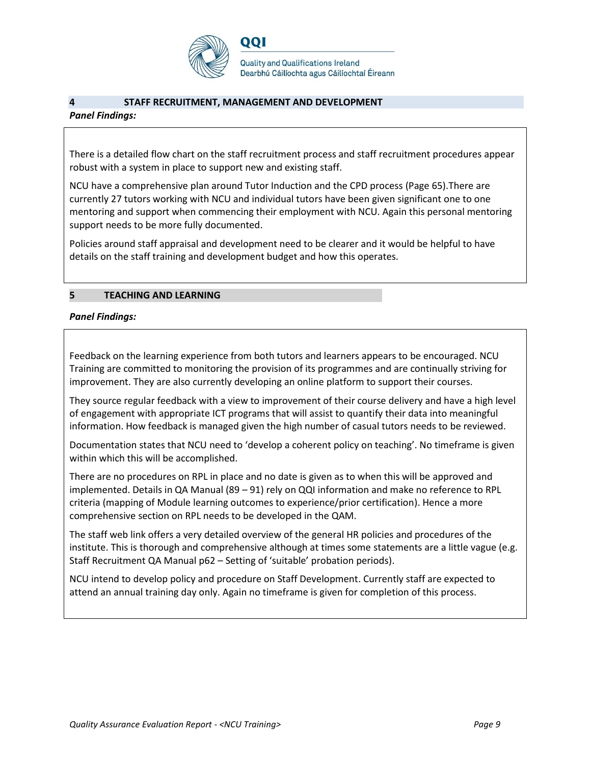

**Quality and Qualifications Ireland** Dearbhú Cáilíochta agus Cáilíochtaí Éireann

#### **4 STAFF RECRUITMENT, MANAGEMENT AND DEVELOPMENT**

#### *Panel Findings:*

There is a detailed flow chart on the staff recruitment process and staff recruitment procedures appear robust with a system in place to support new and existing staff.

NCU have a comprehensive plan around Tutor Induction and the CPD process (Page 65).There are currently 27 tutors working with NCU and individual tutors have been given significant one to one mentoring and support when commencing their employment with NCU. Again this personal mentoring support needs to be more fully documented.

Policies around staff appraisal and development need to be clearer and it would be helpful to have details on the staff training and development budget and how this operates.

#### **5 TEACHING AND LEARNING**

#### *Panel Findings:*

Feedback on the learning experience from both tutors and learners appears to be encouraged. NCU Training are committed to monitoring the provision of its programmes and are continually striving for improvement. They are also currently developing an online platform to support their courses.

They source regular feedback with a view to improvement of their course delivery and have a high level of engagement with appropriate ICT programs that will assist to quantify their data into meaningful information. How feedback is managed given the high number of casual tutors needs to be reviewed.

Documentation states that NCU need to 'develop a coherent policy on teaching'. No timeframe is given within which this will be accomplished.

There are no procedures on RPL in place and no date is given as to when this will be approved and implemented. Details in QA Manual (89 – 91) rely on QQI information and make no reference to RPL criteria (mapping of Module learning outcomes to experience/prior certification). Hence a more comprehensive section on RPL needs to be developed in the QAM.

The staff web link offers a very detailed overview of the general HR policies and procedures of the institute. This is thorough and comprehensive although at times some statements are a little vague (e.g. Staff Recruitment QA Manual p62 – Setting of 'suitable' probation periods).

NCU intend to develop policy and procedure on Staff Development. Currently staff are expected to attend an annual training day only. Again no timeframe is given for completion of this process.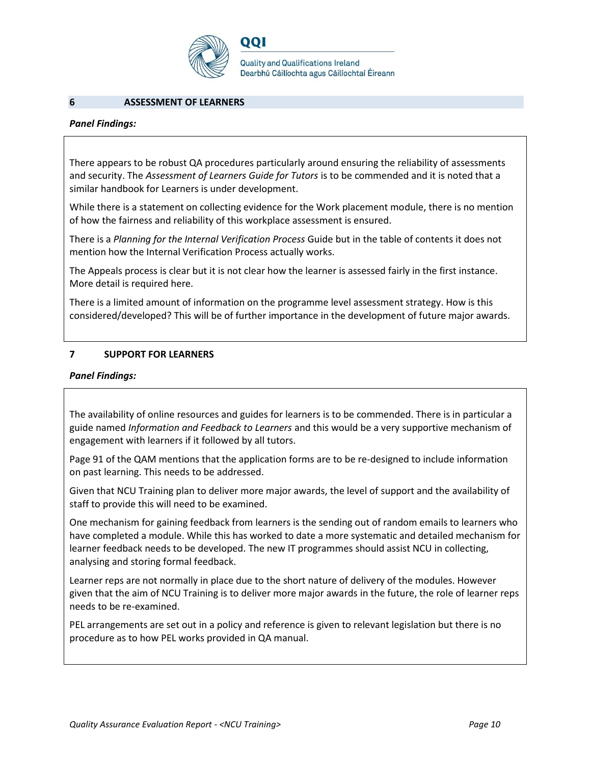

001

**Quality and Qualifications Ireland** Dearbhú Cáilíochta agus Cáilíochtaí Éireann

#### **6 ASSESSMENT OF LEARNERS**

#### *Panel Findings:*

There appears to be robust QA procedures particularly around ensuring the reliability of assessments and security. The *Assessment of Learners Guide for Tutors* is to be commended and it is noted that a similar handbook for Learners is under development.

While there is a statement on collecting evidence for the Work placement module, there is no mention of how the fairness and reliability of this workplace assessment is ensured.

There is a *Planning for the Internal Verification Process* Guide but in the table of contents it does not mention how the Internal Verification Process actually works.

The Appeals process is clear but it is not clear how the learner is assessed fairly in the first instance. More detail is required here.

There is a limited amount of information on the programme level assessment strategy. How is this considered/developed? This will be of further importance in the development of future major awards.

#### **7 SUPPORT FOR LEARNERS**

#### *Panel Findings:*

The availability of online resources and guides for learners is to be commended. There is in particular a guide named *Information and Feedback to Learners* and this would be a very supportive mechanism of engagement with learners if it followed by all tutors.

Page 91 of the QAM mentions that the application forms are to be re-designed to include information on past learning. This needs to be addressed.

Given that NCU Training plan to deliver more major awards, the level of support and the availability of staff to provide this will need to be examined.

One mechanism for gaining feedback from learners is the sending out of random emails to learners who have completed a module. While this has worked to date a more systematic and detailed mechanism for learner feedback needs to be developed. The new IT programmes should assist NCU in collecting, analysing and storing formal feedback.

Learner reps are not normally in place due to the short nature of delivery of the modules. However given that the aim of NCU Training is to deliver more major awards in the future, the role of learner reps needs to be re-examined.

PEL arrangements are set out in a policy and reference is given to relevant legislation but there is no procedure as to how PEL works provided in QA manual.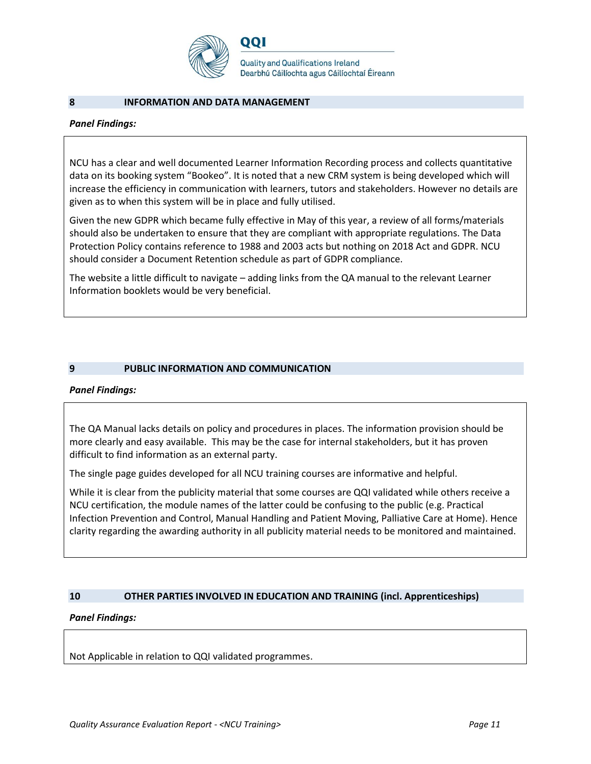

#### **8 INFORMATION AND DATA MANAGEMENT**

#### *Panel Findings:*

NCU has a clear and well documented Learner Information Recording process and collects quantitative data on its booking system "Bookeo". It is noted that a new CRM system is being developed which will increase the efficiency in communication with learners, tutors and stakeholders. However no details are given as to when this system will be in place and fully utilised.

Given the new GDPR which became fully effective in May of this year, a review of all forms/materials should also be undertaken to ensure that they are compliant with appropriate regulations. The Data Protection Policy contains reference to 1988 and 2003 acts but nothing on 2018 Act and GDPR. NCU should consider a Document Retention schedule as part of GDPR compliance.

The website a little difficult to navigate – adding links from the QA manual to the relevant Learner Information booklets would be very beneficial.

#### **9 PUBLIC INFORMATION AND COMMUNICATION**

#### *Panel Findings:*

The QA Manual lacks details on policy and procedures in places. The information provision should be more clearly and easy available. This may be the case for internal stakeholders, but it has proven difficult to find information as an external party.

The single page guides developed for all NCU training courses are informative and helpful.

While it is clear from the publicity material that some courses are QQI validated while others receive a NCU certification, the module names of the latter could be confusing to the public (e.g. Practical Infection Prevention and Control, Manual Handling and Patient Moving, Palliative Care at Home). Hence clarity regarding the awarding authority in all publicity material needs to be monitored and maintained.

#### **10 OTHER PARTIES INVOLVED IN EDUCATION AND TRAINING (incl. Apprenticeships)**

#### *Panel Findings:*

Not Applicable in relation to QQI validated programmes.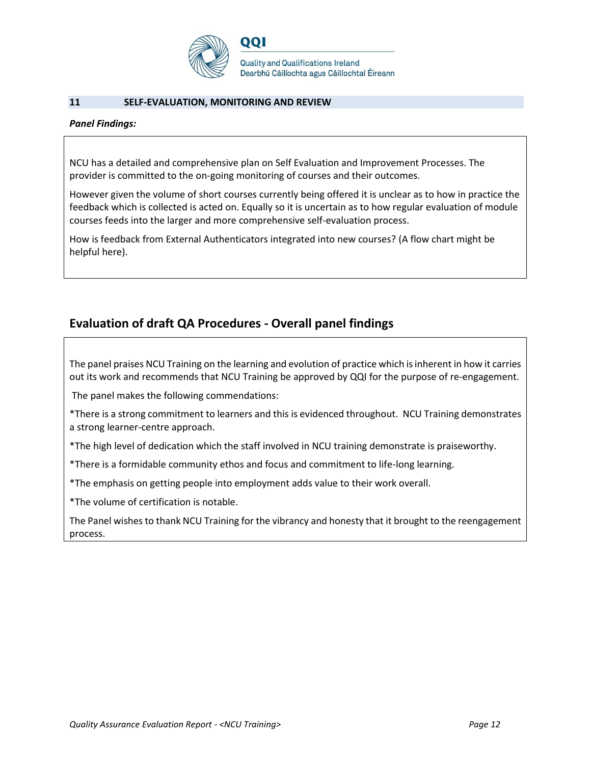

#### **11 SELF-EVALUATION, MONITORING AND REVIEW**

#### *Panel Findings:*

NCU has a detailed and comprehensive plan on Self Evaluation and Improvement Processes. The provider is committed to the on-going monitoring of courses and their outcomes.

However given the volume of short courses currently being offered it is unclear as to how in practice the feedback which is collected is acted on. Equally so it is uncertain as to how regular evaluation of module courses feeds into the larger and more comprehensive self-evaluation process.

How is feedback from External Authenticators integrated into new courses? (A flow chart might be helpful here).

# **Evaluation of draft QA Procedures - Overall panel findings**

The panel praises NCU Training on the learning and evolution of practice which is inherent in how it carries out its work and recommends that NCU Training be approved by QQI for the purpose of re-engagement.

The panel makes the following commendations:

\*There is a strong commitment to learners and this is evidenced throughout. NCU Training demonstrates a strong learner-centre approach.

\*The high level of dedication which the staff involved in NCU training demonstrate is praiseworthy.

\*There is a formidable community ethos and focus and commitment to life-long learning.

\*The emphasis on getting people into employment adds value to their work overall.

\*The volume of certification is notable.

The Panel wishes to thank NCU Training for the vibrancy and honesty that it brought to the reengagement process.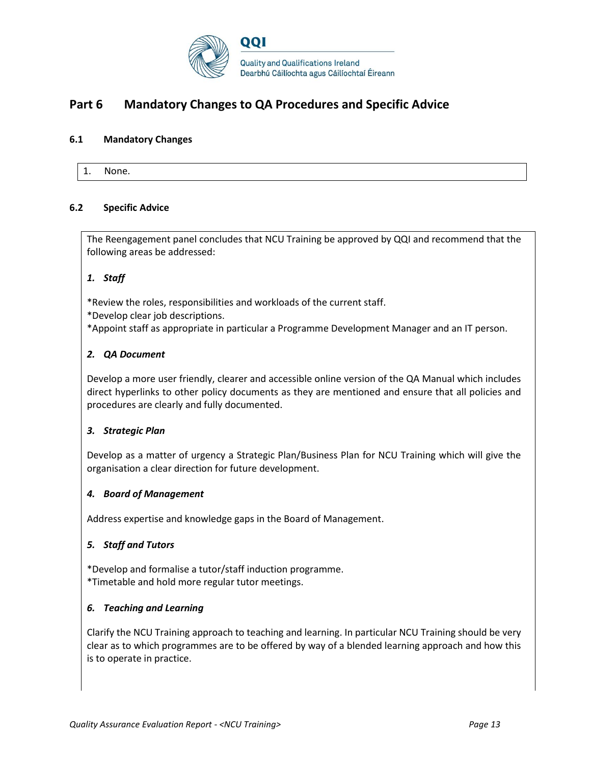

# **Part 6 Mandatory Changes to QA Procedures and Specific Advice**

#### **6.1 Mandatory Changes**

1. None.

#### **6.2 Specific Advice**

The Reengagement panel concludes that NCU Training be approved by QQI and recommend that the following areas be addressed:

#### *1. Staff*

\*Review the roles, responsibilities and workloads of the current staff.

\*Develop clear job descriptions.

\*Appoint staff as appropriate in particular a Programme Development Manager and an IT person.

#### *2. QA Document*

Develop a more user friendly, clearer and accessible online version of the QA Manual which includes direct hyperlinks to other policy documents as they are mentioned and ensure that all policies and procedures are clearly and fully documented.

#### *3. Strategic Plan*

Develop as a matter of urgency a Strategic Plan/Business Plan for NCU Training which will give the organisation a clear direction for future development.

#### *4. Board of Management*

Address expertise and knowledge gaps in the Board of Management.

#### *5. Staff and Tutors*

\*Develop and formalise a tutor/staff induction programme. \*Timetable and hold more regular tutor meetings.

#### *6. Teaching and Learning*

Clarify the NCU Training approach to teaching and learning. In particular NCU Training should be very clear as to which programmes are to be offered by way of a blended learning approach and how this is to operate in practice.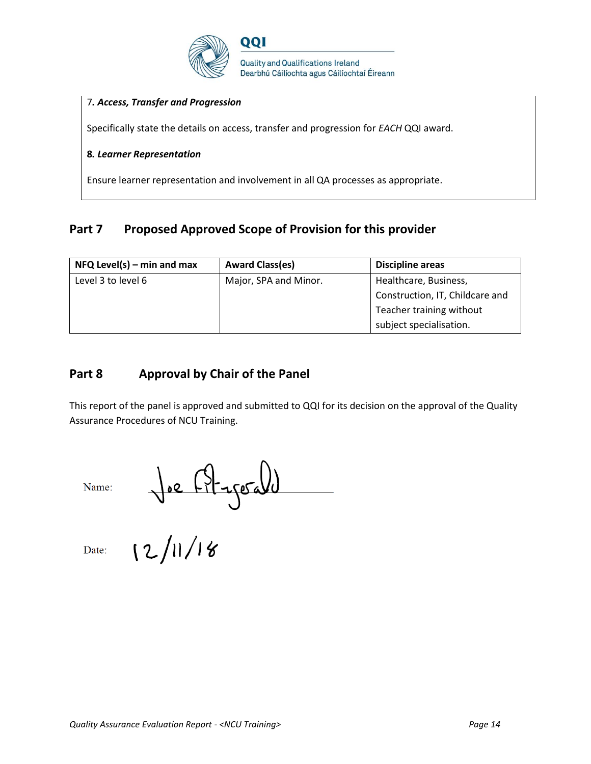

#### 7*. Access, Transfer and Progression*

Specifically state the details on access, transfer and progression for *EACH* QQI award.

#### **8***. Learner Representation*

Ensure learner representation and involvement in all QA processes as appropriate.

# Part 7 Proposed Approved Scope of Provision for this provider

| $NFA$ Level(s) – min and max | <b>Award Class(es)</b> | <b>Discipline areas</b>         |
|------------------------------|------------------------|---------------------------------|
| Level 3 to level 6           | Major, SPA and Minor.  | Healthcare, Business,           |
|                              |                        | Construction, IT, Childcare and |
|                              |                        | Teacher training without        |
|                              |                        | subject specialisation.         |

# **Part 8 Approval by Chair of the Panel**

This report of the panel is approved and submitted to QQI for its decision on the approval of the Quality Assurance Procedures of NCU Training.

Name:

 $\int e^{ \int |z - \sqrt{1 + |z - z|} d\theta}$ 

Date: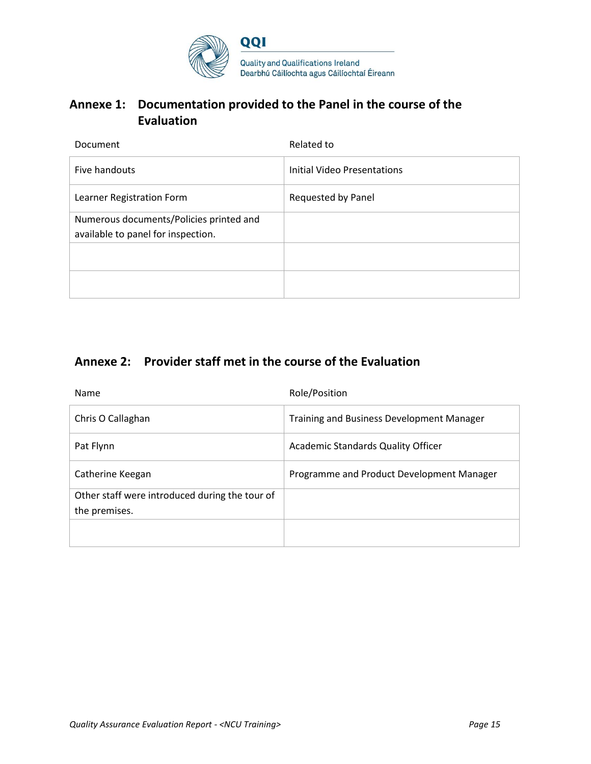

# **Annexe 1: Documentation provided to the Panel in the course of the Evaluation**

| <b>Document</b>                         | Related to                  |
|-----------------------------------------|-----------------------------|
| Five handouts                           | Initial Video Presentations |
| Learner Registration Form               | Requested by Panel          |
| Numerous documents/Policies printed and |                             |
| available to panel for inspection.      |                             |
|                                         |                             |
|                                         |                             |
|                                         |                             |
|                                         |                             |

# **Annexe 2: Provider staff met in the course of the Evaluation**

| Name                                           | Role/Position                                    |
|------------------------------------------------|--------------------------------------------------|
| Chris O Callaghan                              | <b>Training and Business Development Manager</b> |
| Pat Flynn                                      | <b>Academic Standards Quality Officer</b>        |
| Catherine Keegan                               | Programme and Product Development Manager        |
| Other staff were introduced during the tour of |                                                  |
| the premises.                                  |                                                  |
|                                                |                                                  |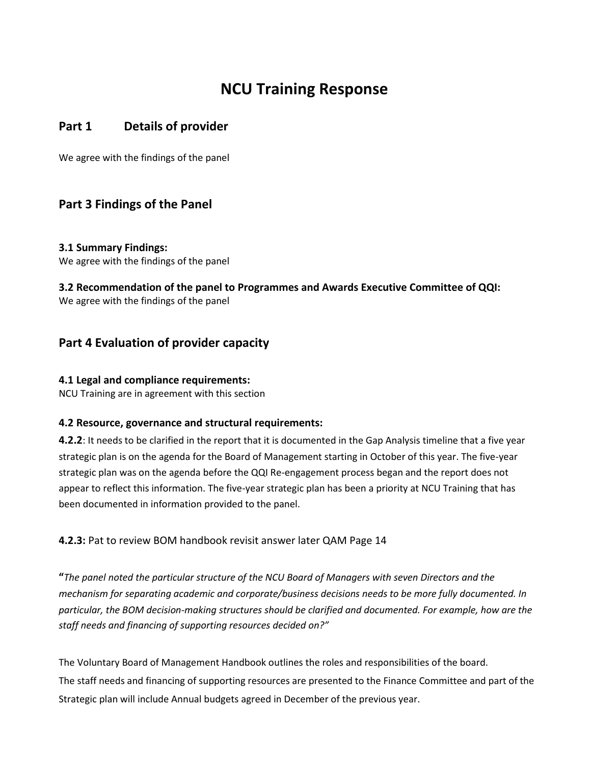# **NCU Training Response**

# **Part 1 Details of provider**

We agree with the findings of the panel

# **Part 3 Findings of the Panel**

**3.1 Summary Findings:** We agree with the findings of the panel

**3.2 Recommendation of the panel to Programmes and Awards Executive Committee of QQI:**  We agree with the findings of the panel

# **Part 4 Evaluation of provider capacity**

## **4.1 Legal and compliance requirements:**

NCU Training are in agreement with this section

## **4.2 Resource, governance and structural requirements:**

**4.2.2**: It needs to be clarified in the report that it is documented in the Gap Analysis timeline that a five year strategic plan is on the agenda for the Board of Management starting in October of this year. The five-year strategic plan was on the agenda before the QQI Re-engagement process began and the report does not appear to reflect this information. The five-year strategic plan has been a priority at NCU Training that has been documented in information provided to the panel.

**4.2.3:** Pat to review BOM handbook revisit answer later QAM Page 14

**"***The panel noted the particular structure of the NCU Board of Managers with seven Directors and the mechanism for separating academic and corporate/business decisions needs to be more fully documented. In particular, the BOM decision-making structures should be clarified and documented. For example, how are the staff needs and financing of supporting resources decided on?"*

The Voluntary Board of Management Handbook outlines the roles and responsibilities of the board. The staff needs and financing of supporting resources are presented to the Finance Committee and part of the Strategic plan will include Annual budgets agreed in December of the previous year.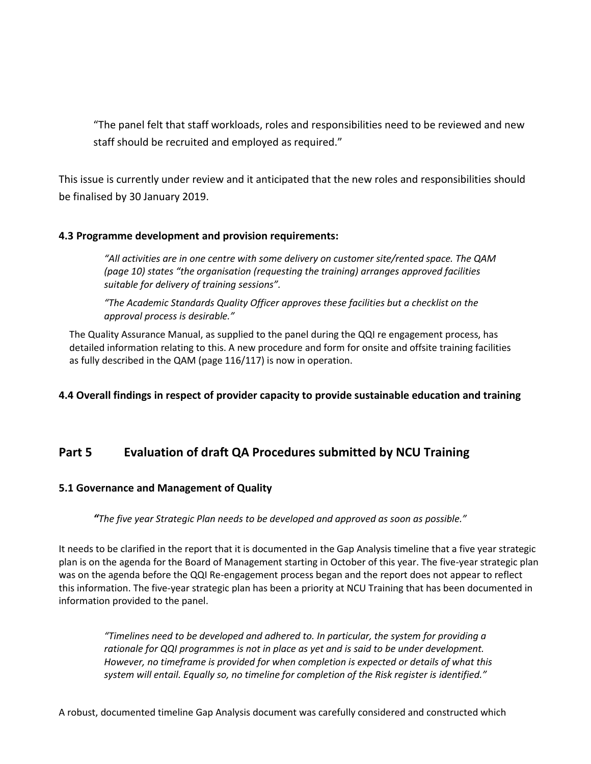"The panel felt that staff workloads, roles and responsibilities need to be reviewed and new staff should be recruited and employed as required."

This issue is currently under review and it anticipated that the new roles and responsibilities should be finalised by 30 January 2019.

## **4.3 Programme development and provision requirements:**

*"All activities are in one centre with some delivery on customer site/rented space. The QAM (page 10) states "the organisation (requesting the training) arranges approved facilities suitable for delivery of training sessions".*

*"The Academic Standards Quality Officer approves these facilities but a checklist on the approval process is desirable."*

The Quality Assurance Manual, as supplied to the panel during the QQI re engagement process, has detailed information relating to this. A new procedure and form for onsite and offsite training facilities as fully described in the QAM (page 116/117) is now in operation.

## **4.4 Overall findings in respect of provider capacity to provide sustainable education and training**

# **Part 5 Evaluation of draft QA Procedures submitted by NCU Training**

## **5.1 Governance and Management of Quality**

*"The five year Strategic Plan needs to be developed and approved as soon as possible."* 

It needs to be clarified in the report that it is documented in the Gap Analysis timeline that a five year strategic plan is on the agenda for the Board of Management starting in October of this year. The five-year strategic plan was on the agenda before the QQI Re-engagement process began and the report does not appear to reflect this information. The five-year strategic plan has been a priority at NCU Training that has been documented in information provided to the panel.

*"Timelines need to be developed and adhered to. In particular, the system for providing a rationale for QQI programmes is not in place as yet and is said to be under development. However, no timeframe is provided for when completion is expected or details of what this system will entail. Equally so, no timeline for completion of the Risk register is identified."*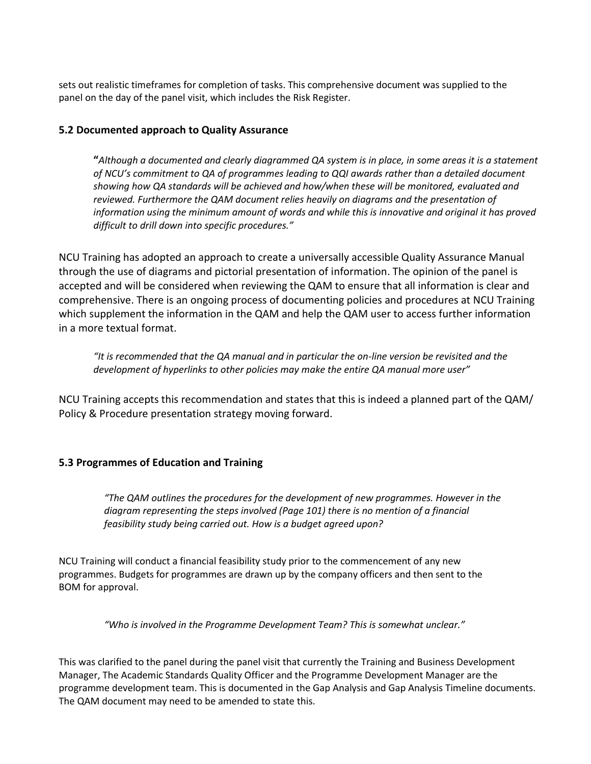sets out realistic timeframes for completion of tasks. This comprehensive document was supplied to the panel on the day of the panel visit, which includes the Risk Register.

## **5.2 Documented approach to Quality Assurance**

**"***Although a documented and clearly diagrammed QA system is in place, in some areas it is a statement of NCU's commitment to QA of programmes leading to QQI awards rather than a detailed document showing how QA standards will be achieved and how/when these will be monitored, evaluated and reviewed. Furthermore the QAM document relies heavily on diagrams and the presentation of information using the minimum amount of words and while this is innovative and original it has proved difficult to drill down into specific procedures."*

NCU Training has adopted an approach to create a universally accessible Quality Assurance Manual through the use of diagrams and pictorial presentation of information. The opinion of the panel is accepted and will be considered when reviewing the QAM to ensure that all information is clear and comprehensive. There is an ongoing process of documenting policies and procedures at NCU Training which supplement the information in the QAM and help the QAM user to access further information in a more textual format.

*"It is recommended that the QA manual and in particular the on-line version be revisited and the development of hyperlinks to other policies may make the entire QA manual more user"*

NCU Training accepts this recommendation and states that this is indeed a planned part of the QAM/ Policy & Procedure presentation strategy moving forward.

# **5.3 Programmes of Education and Training**

*"The QAM outlines the procedures for the development of new programmes. However in the diagram representing the steps involved (Page 101) there is no mention of a financial feasibility study being carried out. How is a budget agreed upon?*

NCU Training will conduct a financial feasibility study prior to the commencement of any new programmes. Budgets for programmes are drawn up by the company officers and then sent to the BOM for approval.

*"Who is involved in the Programme Development Team? This is somewhat unclear."*

This was clarified to the panel during the panel visit that currently the Training and Business Development Manager, The Academic Standards Quality Officer and the Programme Development Manager are the programme development team. This is documented in the Gap Analysis and Gap Analysis Timeline documents. The QAM document may need to be amended to state this.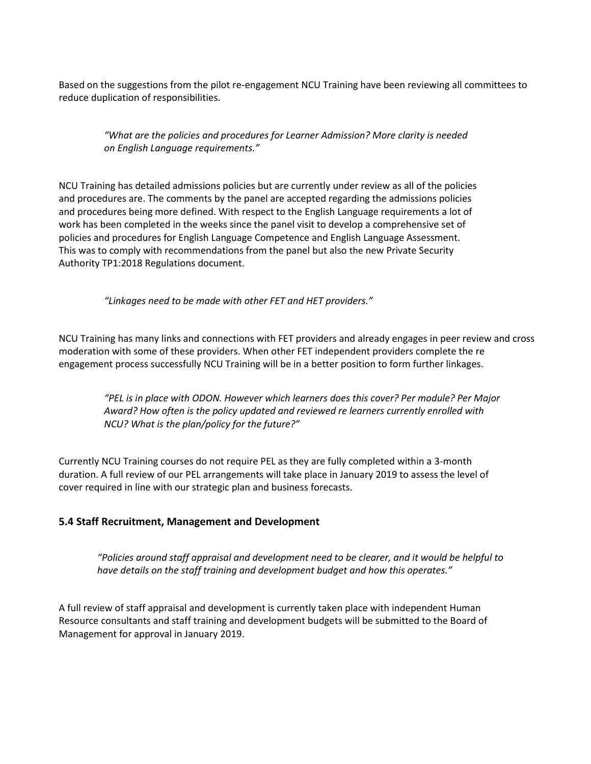Based on the suggestions from the pilot re-engagement NCU Training have been reviewing all committees to reduce duplication of responsibilities.

*"What are the policies and procedures for Learner Admission? More clarity is needed on English Language requirements."*

NCU Training has detailed admissions policies but are currently under review as all of the policies and procedures are. The comments by the panel are accepted regarding the admissions policies and procedures being more defined. With respect to the English Language requirements a lot of work has been completed in the weeks since the panel visit to develop a comprehensive set of policies and procedures for English Language Competence and English Language Assessment. This was to comply with recommendations from the panel but also the new Private Security Authority TP1:2018 Regulations document.

*"Linkages need to be made with other FET and HET providers."*

NCU Training has many links and connections with FET providers and already engages in peer review and cross moderation with some of these providers. When other FET independent providers complete the re engagement process successfully NCU Training will be in a better position to form further linkages.

*"PEL is in place with ODON. However which learners does this cover? Per module? Per Major Award? How often is the policy updated and reviewed re learners currently enrolled with NCU? What is the plan/policy for the future?"*

Currently NCU Training courses do not require PEL as they are fully completed within a 3-month duration. A full review of our PEL arrangements will take place in January 2019 to assess the level of cover required in line with our strategic plan and business forecasts.

## **5.4 Staff Recruitment, Management and Development**

*"Policies around staff appraisal and development need to be clearer, and it would be helpful to have details on the staff training and development budget and how this operates."*

A full review of staff appraisal and development is currently taken place with independent Human Resource consultants and staff training and development budgets will be submitted to the Board of Management for approval in January 2019.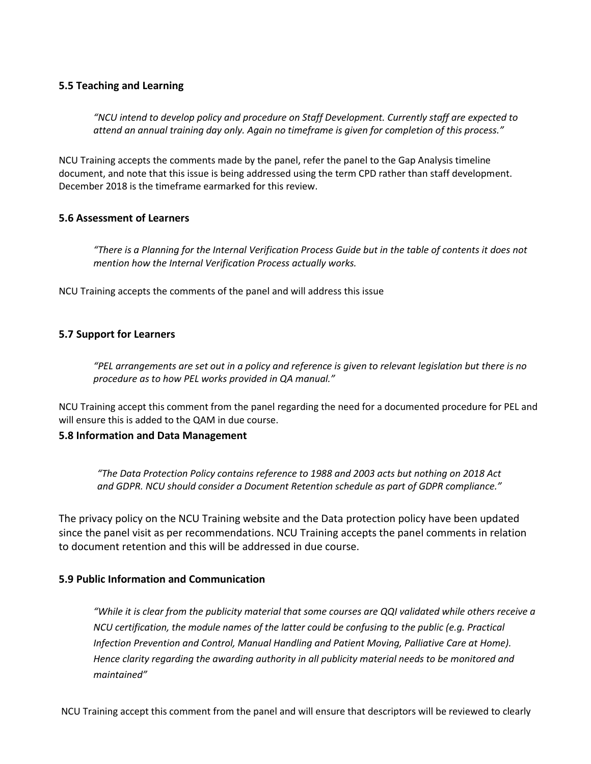## **5.5 Teaching and Learning**

*"NCU intend to develop policy and procedure on Staff Development. Currently staff are expected to attend an annual training day only. Again no timeframe is given for completion of this process."*

NCU Training accepts the comments made by the panel, refer the panel to the Gap Analysis timeline document, and note that this issue is being addressed using the term CPD rather than staff development. December 2018 is the timeframe earmarked for this review.

## **5.6 Assessment of Learners**

*"There is a Planning for the Internal Verification Process Guide but in the table of contents it does not mention how the Internal Verification Process actually works.*

NCU Training accepts the comments of the panel and will address this issue

# **5.7 Support for Learners**

*"PEL arrangements are set out in a policy and reference is given to relevant legislation but there is no procedure as to how PEL works provided in QA manual."*

NCU Training accept this comment from the panel regarding the need for a documented procedure for PEL and will ensure this is added to the QAM in due course.

## **5.8 Information and Data Management**

*"The Data Protection Policy contains reference to 1988 and 2003 acts but nothing on 2018 Act and GDPR. NCU should consider a Document Retention schedule as part of GDPR compliance."*

The privacy policy on the NCU Training website and the Data protection policy have been updated since the panel visit as per recommendations. NCU Training accepts the panel comments in relation to document retention and this will be addressed in due course.

## **5.9 Public Information and Communication**

*"While it is clear from the publicity material that some courses are QQI validated while others receive a NCU certification, the module names of the latter could be confusing to the public (e.g. Practical Infection Prevention and Control, Manual Handling and Patient Moving, Palliative Care at Home). Hence clarity regarding the awarding authority in all publicity material needs to be monitored and maintained"*

NCU Training accept this comment from the panel and will ensure that descriptors will be reviewed to clearly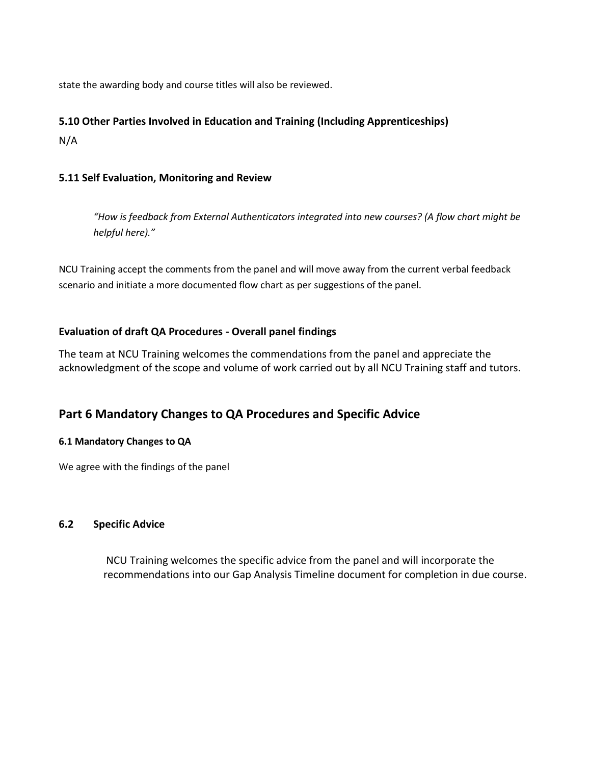state the awarding body and course titles will also be reviewed.

## **5.10 Other Parties Involved in Education and Training (Including Apprenticeships)**

N/A

# **5.11 Self Evaluation, Monitoring and Review**

*"How is feedback from External Authenticators integrated into new courses? (A flow chart might be helpful here)."*

NCU Training accept the comments from the panel and will move away from the current verbal feedback scenario and initiate a more documented flow chart as per suggestions of the panel.

# **Evaluation of draft QA Procedures - Overall panel findings**

The team at NCU Training welcomes the commendations from the panel and appreciate the acknowledgment of the scope and volume of work carried out by all NCU Training staff and tutors.

# **Part 6 Mandatory Changes to QA Procedures and Specific Advice**

## **6.1 Mandatory Changes to QA**

We agree with the findings of the panel

## **6.2 Specific Advice**

NCU Training welcomes the specific advice from the panel and will incorporate the recommendations into our Gap Analysis Timeline document for completion in due course.